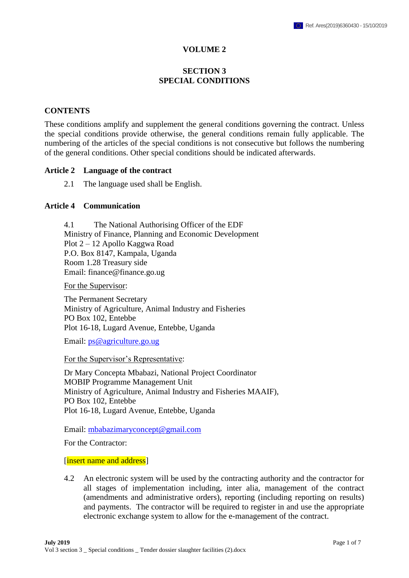### **VOLUME 2**

# **SECTION 3 SPECIAL CONDITIONS**

#### **CONTENTS**

These conditions amplify and supplement the general conditions governing the contract. Unless the special conditions provide otherwise, the general conditions remain fully applicable. The numbering of the articles of the special conditions is not consecutive but follows the numbering of the general conditions. Other special conditions should be indicated afterwards.

#### **Article 2 Language of the contract**

2.1 The language used shall be English.

#### **Article 4 Communication**

4.1 The National Authorising Officer of the EDF Ministry of Finance, Planning and Economic Development Plot 2 – 12 Apollo Kaggwa Road P.O. Box 8147, Kampala, Uganda Room 1.28 Treasury side Email: finance@finance.go.ug

For the Supervisor:

The Permanent Secretary Ministry of Agriculture, Animal Industry and Fisheries PO Box 102, Entebbe Plot 16-18, Lugard Avenue, Entebbe, Uganda

Email: [ps@agriculture.go.ug](mailto:ps@agriculture.go.ug)

For the Supervisor's Representative:

Dr Mary Concepta Mbabazi, National Project Coordinator MOBIP Programme Management Unit Ministry of Agriculture, Animal Industry and Fisheries MAAIF), PO Box 102, Entebbe Plot 16-18, Lugard Avenue, Entebbe, Uganda

Email: [mbabazimaryconcept@gmail.com](mailto:mbabazimaryconcept@gmail.com)

For the Contractor:

#### [insert name and address]

4.2 An electronic system will be used by the contracting authority and the contractor for all stages of implementation including, inter alia, management of the contract (amendments and administrative orders), reporting (including reporting on results) and payments. The contractor will be required to register in and use the appropriate electronic exchange system to allow for the e-management of the contract.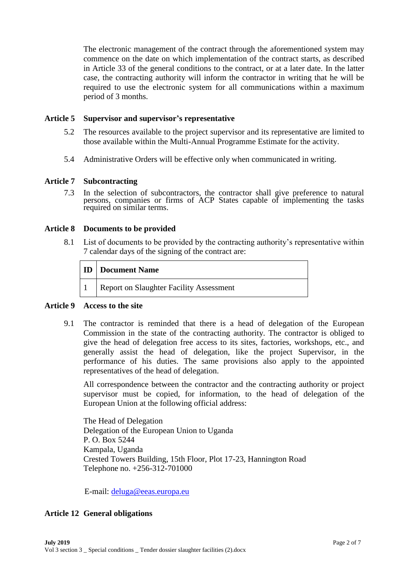The electronic management of the contract through the aforementioned system may commence on the date on which implementation of the contract starts, as described in Article 33 of the general conditions to the contract, or at a later date. In the latter case, the contracting authority will inform the contractor in writing that he will be required to use the electronic system for all communications within a maximum period of 3 months.

### **Article 5 Supervisor and supervisor's representative**

- 5.2 The resources available to the project supervisor and its representative are limited to those available within the Multi-Annual Programme Estimate for the activity.
- 5.4 Administrative Orders will be effective only when communicated in writing.

#### **Article 7 Subcontracting**

7.3 In the selection of subcontractors, the contractor shall give preference to natural persons, companies or firms of ACP States capable of implementing the tasks required on similar terms.

#### **Article 8 Documents to be provided**

8.1 List of documents to be provided by the contracting authority's representative within 7 calendar days of the signing of the contract are:

| <b>ID</b> Document Name                 |  |
|-----------------------------------------|--|
| Report on Slaughter Facility Assessment |  |

#### **Article 9 Access to the site**

9.1 The contractor is reminded that there is a head of delegation of the European Commission in the state of the contracting authority. The contractor is obliged to give the head of delegation free access to its sites, factories, workshops, etc., and generally assist the head of delegation, like the project Supervisor, in the performance of his duties. The same provisions also apply to the appointed representatives of the head of delegation.

All correspondence between the contractor and the contracting authority or project supervisor must be copied, for information, to the head of delegation of the European Union at the following official address:

The Head of Delegation Delegation of the European Union to Uganda P. O. Box 5244 Kampala, Uganda Crested Towers Building, 15th Floor, Plot 17-23, Hannington Road Telephone no. +256-312-701000

E-mail: [deluga@eeas.europa.eu](mailto:deluga@eeas.europa.eu)

### **Article 12 General obligations**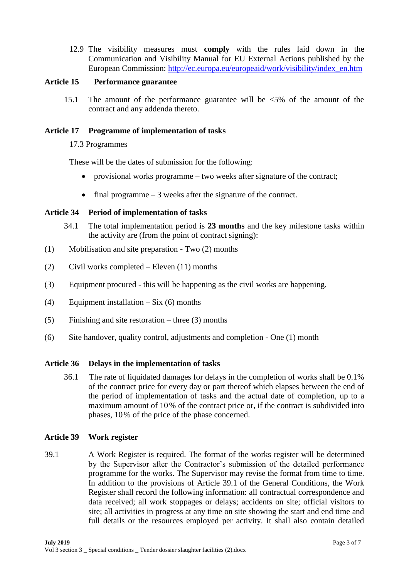12.9 The visibility measures must **comply** with the rules laid down in the Communication and Visibility Manual for EU External Actions published by the European Commission: [http://ec.europa.eu/europeaid/work/visibility/index\\_en.htm](http://ec.europa.eu/europeaid/work/visibility/index_en.htm)

# **Article 15 Performance guarantee**

15.1 The amount of the performance guarantee will be <5% of the amount of the contract and any addenda thereto.

### **Article 17 Programme of implementation of tasks**

# 17.3 Programmes

These will be the dates of submission for the following:

- provisional works programme two weeks after signature of the contract;
- final programme  $-3$  weeks after the signature of the contract.

# **Article 34 Period of implementation of tasks**

- 34.1 The total implementation period is **23 months** and the key milestone tasks within the activity are (from the point of contract signing):
- (1) Mobilisation and site preparation Two (2) months
- (2) Civil works completed Eleven (11) months
- (3) Equipment procured this will be happening as the civil works are happening.
- (4) Equipment installation Six (6) months
- (5) Finishing and site restoration three (3) months
- (6) Site handover, quality control, adjustments and completion One (1) month

### **Article 36 Delays in the implementation of tasks**

36.1 The rate of liquidated damages for delays in the completion of works shall be 0.1% of the contract price for every day or part thereof which elapses between the end of the period of implementation of tasks and the actual date of completion, up to a maximum amount of 10% of the contract price or, if the contract is subdivided into phases, 10% of the price of the phase concerned.

### **Article 39 Work register**

39.1 A Work Register is required. The format of the works register will be determined by the Supervisor after the Contractor's submission of the detailed performance programme for the works. The Supervisor may revise the format from time to time. In addition to the provisions of Article 39.1 of the General Conditions, the Work Register shall record the following information: all contractual correspondence and data received; all work stoppages or delays; accidents on site; official visitors to site; all activities in progress at any time on site showing the start and end time and full details or the resources employed per activity. It shall also contain detailed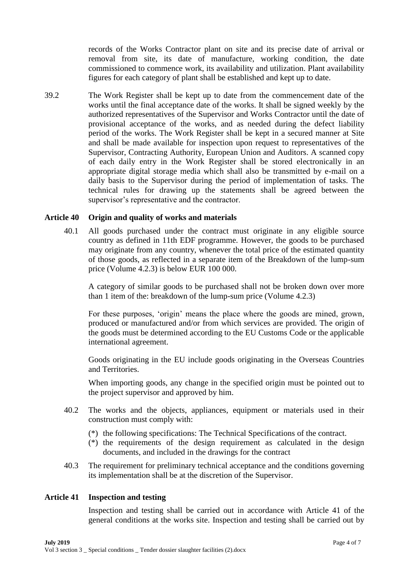records of the Works Contractor plant on site and its precise date of arrival or removal from site, its date of manufacture, working condition, the date commissioned to commence work, its availability and utilization. Plant availability figures for each category of plant shall be established and kept up to date.

39.2 The Work Register shall be kept up to date from the commencement date of the works until the final acceptance date of the works. It shall be signed weekly by the authorized representatives of the Supervisor and Works Contractor until the date of provisional acceptance of the works, and as needed during the defect liability period of the works. The Work Register shall be kept in a secured manner at Site and shall be made available for inspection upon request to representatives of the Supervisor, Contracting Authority, European Union and Auditors. A scanned copy of each daily entry in the Work Register shall be stored electronically in an appropriate digital storage media which shall also be transmitted by e-mail on a daily basis to the Supervisor during the period of implementation of tasks. The technical rules for drawing up the statements shall be agreed between the supervisor's representative and the contractor.

### **Article 40 Origin and quality of works and materials**

40.1 All goods purchased under the contract must originate in any eligible source country as defined in 11th EDF programme. However, the goods to be purchased may originate from any country, whenever the total price of the estimated quantity of those goods, as reflected in a separate item of the Breakdown of the lump-sum price (Volume 4.2.3) is below EUR 100 000.

A category of similar goods to be purchased shall not be broken down over more than 1 item of the: breakdown of the lump-sum price (Volume 4.2.3)

For these purposes, 'origin' means the place where the goods are mined, grown, produced or manufactured and/or from which services are provided. The origin of the goods must be determined according to the EU Customs Code or the applicable international agreement.

Goods originating in the EU include goods originating in the Overseas Countries and Territories.

When importing goods, any change in the specified origin must be pointed out to the project supervisor and approved by him.

- 40.2 The works and the objects, appliances, equipment or materials used in their construction must comply with:
	- (\*) the following specifications: The Technical Specifications of the contract.
	- (\*) the requirements of the design requirement as calculated in the design documents, and included in the drawings for the contract
- 40.3 The requirement for preliminary technical acceptance and the conditions governing its implementation shall be at the discretion of the Supervisor.

#### **Article 41 Inspection and testing**

Inspection and testing shall be carried out in accordance with Article 41 of the general conditions at the works site. Inspection and testing shall be carried out by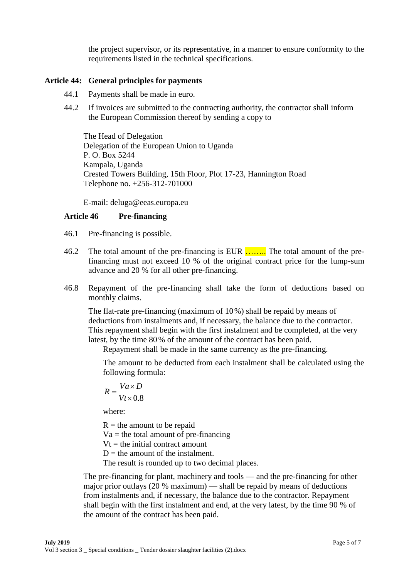the project supervisor, or its representative, in a manner to ensure conformity to the requirements listed in the technical specifications.

#### **Article 44: General principles for payments**

- 44.1 Payments shall be made in euro.
- 44.2 If invoices are submitted to the contracting authority, the contractor shall inform the European Commission thereof by sending a copy to

The Head of Delegation Delegation of the European Union to Uganda P. O. Box 5244 Kampala, Uganda Crested Towers Building, 15th Floor, Plot 17-23, Hannington Road Telephone no. +256-312-701000

E-mail: [deluga@eeas.europa.eu](mailto:deluga@eeas.europa.eu)

### **Article 46 Pre-financing**

- 46.1 Pre-financing is possible.
- 46.2 The total amount of the pre-financing is EUR ........ The total amount of the prefinancing must not exceed 10 % of the original contract price for the lump-sum advance and 20 % for all other pre-financing.
- 46.8 Repayment of the pre-financing shall take the form of deductions based on monthly claims.

The flat-rate pre-financing (maximum of 10%) shall be repaid by means of deductions from instalments and, if necessary, the balance due to the contractor. This repayment shall begin with the first instalment and be completed, at the very latest, by the time 80% of the amount of the contract has been paid.

Repayment shall be made in the same currency as the pre-financing.

The amount to be deducted from each instalment shall be calculated using the following formula:

$$
R = \frac{Va \times D}{Vt \times 0.8}
$$

where:

 $R =$  the amount to be repaid

 $Va =$  the total amount of pre-financing

 $Vt =$  the initial contract amount

 $D =$  the amount of the instalment.

The result is rounded up to two decimal places.

The pre-financing for plant, machinery and tools — and the pre-financing for other major prior outlays (20 % maximum) — shall be repaid by means of deductions from instalments and, if necessary, the balance due to the contractor. Repayment shall begin with the first instalment and end, at the very latest, by the time 90 % of the amount of the contract has been paid.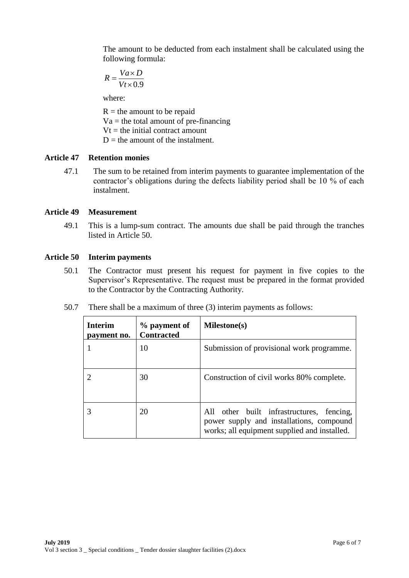The amount to be deducted from each instalment shall be calculated using the following formula:

$$
R = \frac{Va \times D}{Vt \times 0.9}
$$

where:

 $R =$  the amount to be repaid  $Va =$  the total amount of pre-financing  $Vt =$  the initial contract amount  $D =$  the amount of the instalment.

### **Article 47 Retention monies**

47.1 The sum to be retained from interim payments to guarantee implementation of the contractor's obligations during the defects liability period shall be 10 % of each instalment.

#### **Article 49 Measurement**

49.1 This is a lump-sum contract. The amounts due shall be paid through the tranches listed in Article 50.

#### **Article 50 Interim payments**

- 50.1 The Contractor must present his request for payment in five copies to the Supervisor's Representative. The request must be prepared in the format provided to the Contractor by the Contracting Authority.
- 50.7 There shall be a maximum of three (3) interim payments as follows:

| <b>Interim</b><br>payment no. | % payment of<br><b>Contracted</b> | Milestone(s)                                                                                                                          |
|-------------------------------|-----------------------------------|---------------------------------------------------------------------------------------------------------------------------------------|
|                               | 10                                | Submission of provisional work programme.                                                                                             |
|                               | 30                                | Construction of civil works 80% complete.                                                                                             |
|                               | 20                                | All other built infrastructures, fencing,<br>power supply and installations, compound<br>works; all equipment supplied and installed. |